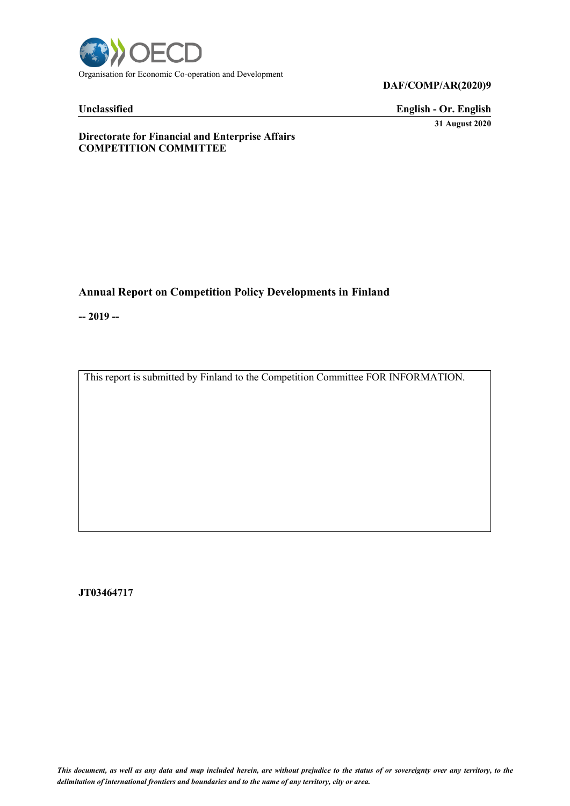

#### **DAF/COMP/AR(2020)9**

# **Unclassified English - Or. English 31 August 2020**

# **Directorate for Financial and Enterprise Affairs COMPETITION COMMITTEE**

# **Annual Report on Competition Policy Developments in Finland**

**-- 2019 --**

This report is submitted by Finland to the Competition Committee FOR INFORMATION.

**JT03464717**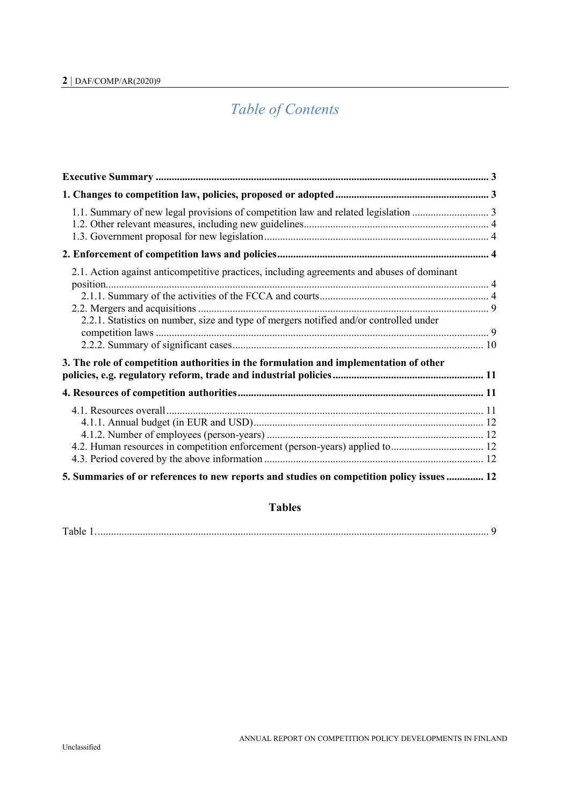# *Table of Contents*

| 2.1. Action against anticompetitive practices, including agreements and abuses of dominant |
|--------------------------------------------------------------------------------------------|
|                                                                                            |
| 2.2.1. Statistics on number, size and type of mergers notified and/or controlled under     |
| 3. The role of competition authorities in the formulation and implementation of other      |
|                                                                                            |
| 4.2. Human resources in competition enforcement (person-years) applied to 12               |
| 5. Summaries of or references to new reports and studies on competition policy issues  12  |

# **Tables**

| T <sub>1</sub> |  |
|----------------|--|
|----------------|--|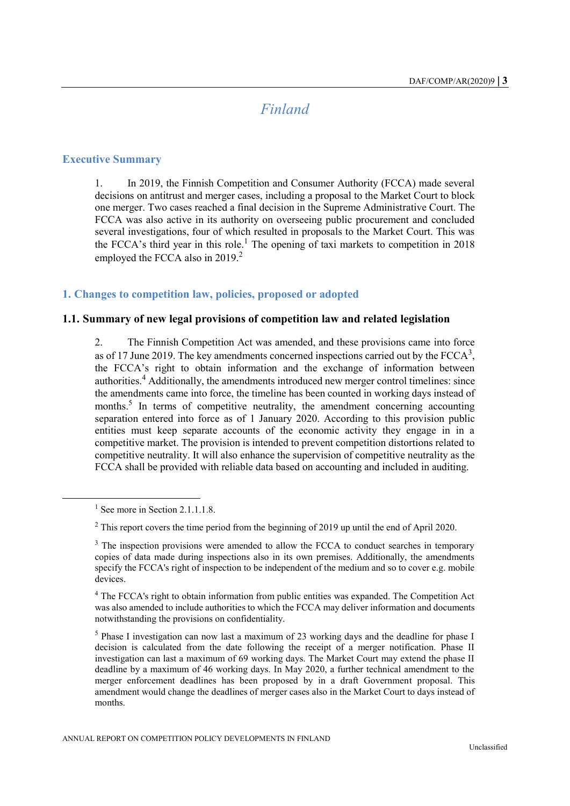# *Finland*

#### <span id="page-2-1"></span><span id="page-2-0"></span>**Executive Summary**

1. In 2019, the Finnish Competition and Consumer Authority (FCCA) made several decisions on antitrust and merger cases, including a proposal to the Market Court to block one merger. Two cases reached a final decision in the Supreme Administrative Court. The FCCA was also active in its authority on overseeing public procurement and concluded several investigations, four of which resulted in proposals to the Market Court. This was the FCCA's third year in this role.<sup>1</sup> The opening of taxi markets to competition in 2018 employed the FCCA also in  $2019<sup>2</sup>$ 

#### <span id="page-2-2"></span>**1. Changes to competition law, policies, proposed or adopted**

#### <span id="page-2-3"></span>**1.1. Summary of new legal provisions of competition law and related legislation**

2. The Finnish Competition Act was amended, and these provisions came into force as of 17 June 2019. The key amendments concerned inspections carried out by the  $FCCA^3$ , the FCCA's right to obtain information and the exchange of information between authorities.<sup>4</sup> Additionally, the amendments introduced new merger control timelines: since the amendments came into force, the timeline has been counted in working days instead of months.<sup>5</sup> In terms of competitive neutrality, the amendment concerning accounting separation entered into force as of 1 January 2020. According to this provision public entities must keep separate accounts of the economic activity they engage in in a competitive market. The provision is intended to prevent competition distortions related to competitive neutrality. It will also enhance the supervision of competitive neutrality as the FCCA shall be provided with reliable data based on accounting and included in auditing.

 $\overline{a}$ 

 $<sup>1</sup>$  See more in Section 2.1.1.1.8.</sup>

<sup>&</sup>lt;sup>2</sup> This report covers the time period from the beginning of 2019 up until the end of April 2020.

<sup>&</sup>lt;sup>3</sup> The inspection provisions were amended to allow the FCCA to conduct searches in temporary copies of data made during inspections also in its own premises. Additionally, the amendments specify the FCCA's right of inspection to be independent of the medium and so to cover e.g. mobile devices.

<sup>4</sup> The FCCA's right to obtain information from public entities was expanded. The Competition Act was also amended to include authorities to which the FCCA may deliver information and documents notwithstanding the provisions on confidentiality.

 $<sup>5</sup>$  Phase I investigation can now last a maximum of 23 working days and the deadline for phase I</sup> decision is calculated from the date following the receipt of a merger notification. Phase II investigation can last a maximum of 69 working days. The Market Court may extend the phase II deadline by a maximum of 46 working days. In May 2020, a further technical amendment to the merger enforcement deadlines has been proposed by in a draft Government proposal. This amendment would change the deadlines of merger cases also in the Market Court to days instead of months.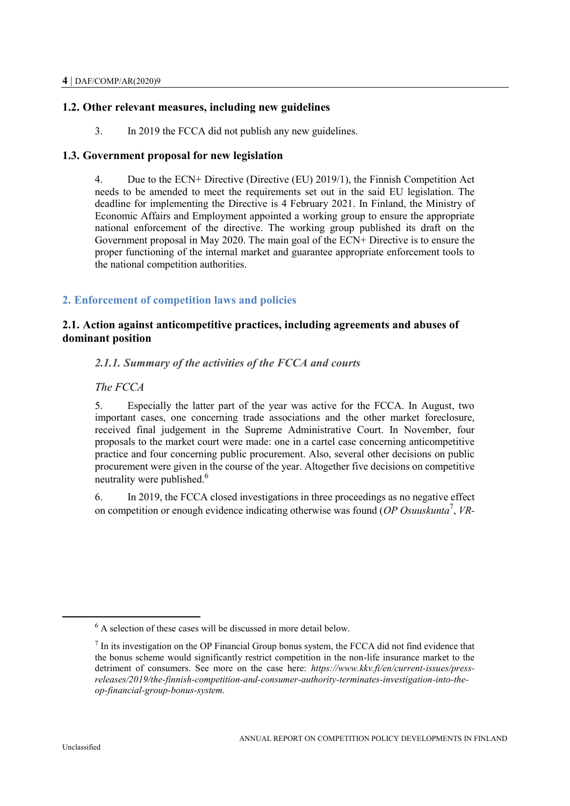# <span id="page-3-0"></span>**1.2. Other relevant measures, including new guidelines**

3. In 2019 the FCCA did not publish any new guidelines.

# <span id="page-3-1"></span>**1.3. Government proposal for new legislation**

4. Due to the ECN+ Directive (Directive (EU) 2019/1), the Finnish Competition Act needs to be amended to meet the requirements set out in the said EU legislation. The deadline for implementing the Directive is 4 February 2021. In Finland, the Ministry of Economic Affairs and Employment appointed a working group to ensure the appropriate national enforcement of the directive. The working group published its draft on the Government proposal in May 2020. The main goal of the ECN+ Directive is to ensure the proper functioning of the internal market and guarantee appropriate enforcement tools to the national competition authorities.

# <span id="page-3-2"></span>**2. Enforcement of competition laws and policies**

# <span id="page-3-3"></span>**2.1. Action against anticompetitive practices, including agreements and abuses of dominant position**

# <span id="page-3-4"></span>*2.1.1. Summary of the activities of the FCCA and courts*

# *The FCCA*

5. Especially the latter part of the year was active for the FCCA. In August, two important cases, one concerning trade associations and the other market foreclosure, received final judgement in the Supreme Administrative Court. In November, four proposals to the market court were made: one in a cartel case concerning anticompetitive practice and four concerning public procurement. Also, several other decisions on public procurement were given in the course of the year. Altogether five decisions on competitive neutrality were published.<sup>6</sup>

6. In 2019, the FCCA closed investigations in three proceedings as no negative effect on competition or enough evidence indicating otherwise was found (*OP Osuuskunta*<sup>7</sup> , *VR-*

 $\overline{a}$ 

 $6$  A selection of these cases will be discussed in more detail below.

 $<sup>7</sup>$  In its investigation on the OP Financial Group bonus system, the FCCA did not find evidence that</sup> the bonus scheme would significantly restrict competition in the non-life insurance market to the detriment of consumers. See more on the case here: *https://www.kkv.fi/en/current-issues/pressreleases/2019/the-finnish-competition-and-consumer-authority-terminates-investigation-into-theop-financial-group-bonus-system*.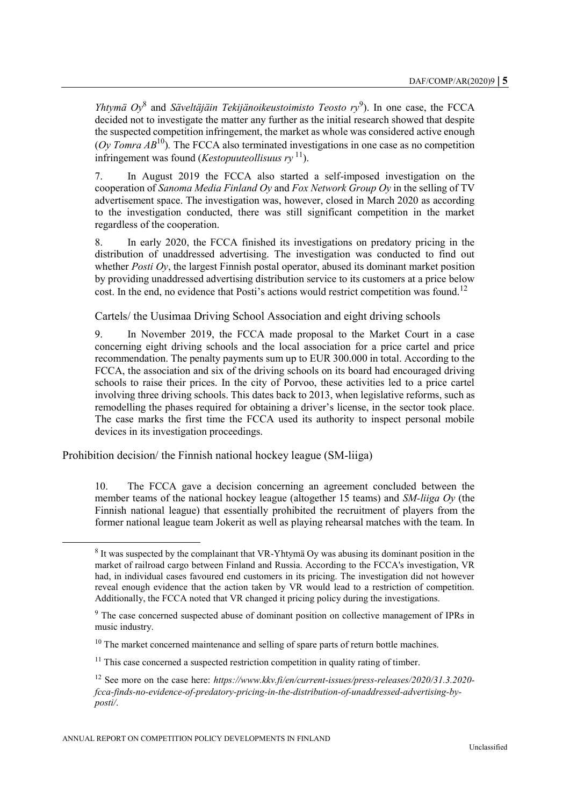*Yhtymä Oy*<sup>8</sup> and *Säveltäjäin Tekijänoikeustoimisto Teosto ry*<sup>9</sup>). In one case, the FCCA decided not to investigate the matter any further as the initial research showed that despite the suspected competition infringement, the market as whole was considered active enough (*Oy Tomra*  $AB^{10}$ ). The FCCA also terminated investigations in one case as no competition infringement was found (*Kestopuuteollisuus ry*  $11$ ).

7. In August 2019 the FCCA also started a self-imposed investigation on the cooperation of *Sanoma Media Finland Oy* and *Fox Network Group Oy* in the selling of TV advertisement space. The investigation was, however, closed in March 2020 as according to the investigation conducted, there was still significant competition in the market regardless of the cooperation.

8. In early 2020, the FCCA finished its investigations on predatory pricing in the distribution of unaddressed advertising. The investigation was conducted to find out whether *Posti Oy*, the largest Finnish postal operator, abused its dominant market position by providing unaddressed advertising distribution service to its customers at a price below cost. In the end, no evidence that Posti's actions would restrict competition was found.<sup>12</sup>

Cartels/ the Uusimaa Driving School Association and eight driving schools

9. In November 2019, the FCCA made proposal to the Market Court in a case concerning eight driving schools and the local association for a price cartel and price recommendation. The penalty payments sum up to EUR 300.000 in total. According to the FCCA, the association and six of the driving schools on its board had encouraged driving schools to raise their prices. In the city of Porvoo, these activities led to a price cartel involving three driving schools. This dates back to 2013, when legislative reforms, such as remodelling the phases required for obtaining a driver's license, in the sector took place. The case marks the first time the FCCA used its authority to inspect personal mobile devices in its investigation proceedings.

Prohibition decision/ the Finnish national hockey league (SM-liiga)

 $\overline{a}$ 

10. The FCCA gave a decision concerning an agreement concluded between the member teams of the national hockey league (altogether 15 teams) and *SM-liiga Oy* (the Finnish national league) that essentially prohibited the recruitment of players from the former national league team Jokerit as well as playing rehearsal matches with the team. In

<sup>&</sup>lt;sup>8</sup> It was suspected by the complainant that VR-Yhtymä Oy was abusing its dominant position in the market of railroad cargo between Finland and Russia. According to the FCCA's investigation, VR had, in individual cases favoured end customers in its pricing. The investigation did not however reveal enough evidence that the action taken by VR would lead to a restriction of competition. Additionally, the FCCA noted that VR changed it pricing policy during the investigations.

 $9<sup>9</sup>$  The case concerned suspected abuse of dominant position on collective management of IPRs in music industry.

 $10$  The market concerned maintenance and selling of spare parts of return bottle machines.

 $11$  This case concerned a suspected restriction competition in quality rating of timber.

<sup>12</sup> See more on the case here: *https://www.kkv.fi/en/current-issues/press-releases/2020/31.3.2020 fcca-finds-no-evidence-of-predatory-pricing-in-the-distribution-of-unaddressed-advertising-byposti/*.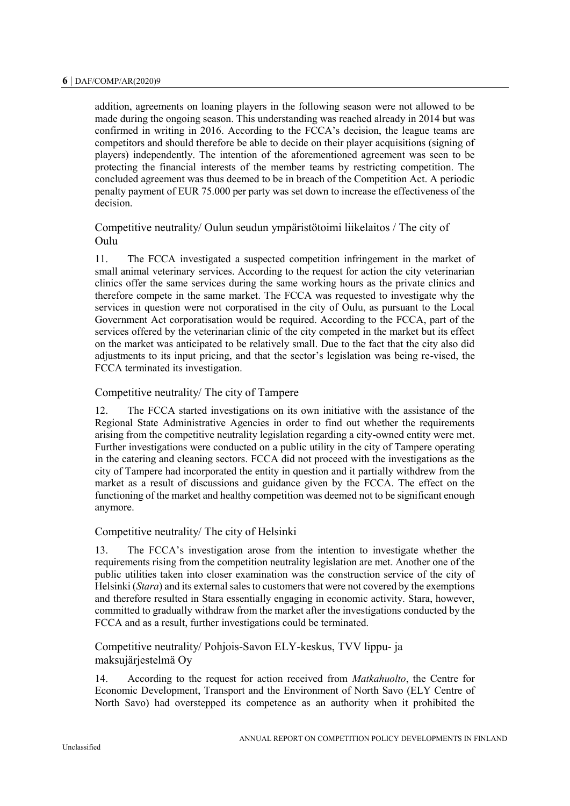addition, agreements on loaning players in the following season were not allowed to be made during the ongoing season. This understanding was reached already in 2014 but was confirmed in writing in 2016. According to the FCCA's decision, the league teams are competitors and should therefore be able to decide on their player acquisitions (signing of players) independently. The intention of the aforementioned agreement was seen to be protecting the financial interests of the member teams by restricting competition. The concluded agreement was thus deemed to be in breach of the Competition Act. A periodic penalty payment of EUR 75.000 per party was set down to increase the effectiveness of the decision.

# Competitive neutrality/ Oulun seudun ympäristötoimi liikelaitos / The city of Oulu

11. The FCCA investigated a suspected competition infringement in the market of small animal veterinary services. According to the request for action the city veterinarian clinics offer the same services during the same working hours as the private clinics and therefore compete in the same market. The FCCA was requested to investigate why the services in question were not corporatised in the city of Oulu, as pursuant to the Local Government Act corporatisation would be required. According to the FCCA, part of the services offered by the veterinarian clinic of the city competed in the market but its effect on the market was anticipated to be relatively small. Due to the fact that the city also did adjustments to its input pricing, and that the sector's legislation was being re-vised, the FCCA terminated its investigation.

#### Competitive neutrality/ The city of Tampere

12. The FCCA started investigations on its own initiative with the assistance of the Regional State Administrative Agencies in order to find out whether the requirements arising from the competitive neutrality legislation regarding a city-owned entity were met. Further investigations were conducted on a public utility in the city of Tampere operating in the catering and cleaning sectors. FCCA did not proceed with the investigations as the city of Tampere had incorporated the entity in question and it partially withdrew from the market as a result of discussions and guidance given by the FCCA. The effect on the functioning of the market and healthy competition was deemed not to be significant enough anymore.

#### Competitive neutrality/ The city of Helsinki

13. The FCCA's investigation arose from the intention to investigate whether the requirements rising from the competition neutrality legislation are met. Another one of the public utilities taken into closer examination was the construction service of the city of Helsinki (*Stara*) and its external sales to customers that were not covered by the exemptions and therefore resulted in Stara essentially engaging in economic activity. Stara, however, committed to gradually withdraw from the market after the investigations conducted by the FCCA and as a result, further investigations could be terminated.

Competitive neutrality/ Pohjois-Savon ELY-keskus, TVV lippu- ja maksujärjestelmä Oy

14. According to the request for action received from *Matkahuolto*, the Centre for Economic Development, Transport and the Environment of North Savo (ELY Centre of North Savo) had overstepped its competence as an authority when it prohibited the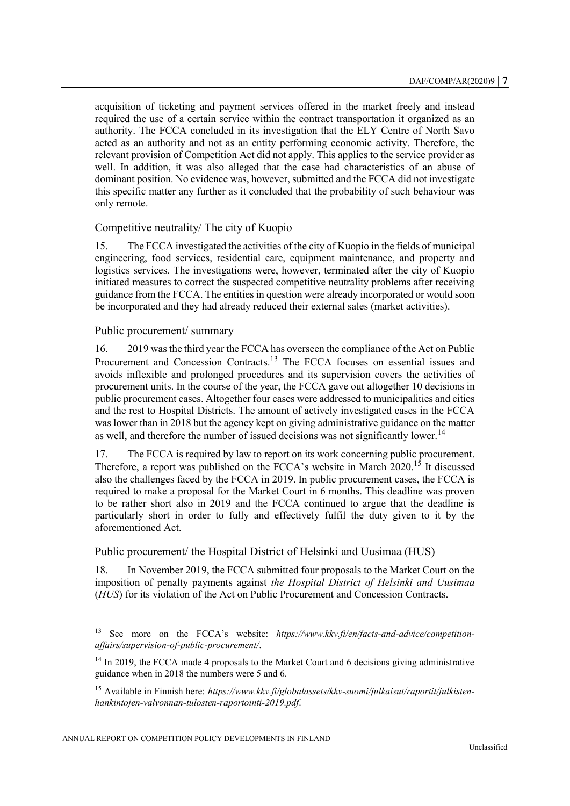acquisition of ticketing and payment services offered in the market freely and instead required the use of a certain service within the contract transportation it organized as an authority. The FCCA concluded in its investigation that the ELY Centre of North Savo acted as an authority and not as an entity performing economic activity. Therefore, the relevant provision of Competition Act did not apply. This applies to the service provider as well. In addition, it was also alleged that the case had characteristics of an abuse of dominant position. No evidence was, however, submitted and the FCCA did not investigate this specific matter any further as it concluded that the probability of such behaviour was only remote.

#### Competitive neutrality/ The city of Kuopio

15. The FCCA investigated the activities of the city of Kuopio in the fields of municipal engineering, food services, residential care, equipment maintenance, and property and logistics services. The investigations were, however, terminated after the city of Kuopio initiated measures to correct the suspected competitive neutrality problems after receiving guidance from the FCCA. The entities in question were already incorporated or would soon be incorporated and they had already reduced their external sales (market activities).

#### Public procurement/ summary

16. 2019 was the third year the FCCA has overseen the compliance of the Act on Public Procurement and Concession Contracts.<sup>13</sup> The FCCA focuses on essential issues and avoids inflexible and prolonged procedures and its supervision covers the activities of procurement units. In the course of the year, the FCCA gave out altogether 10 decisions in public procurement cases. Altogether four cases were addressed to municipalities and cities and the rest to Hospital Districts. The amount of actively investigated cases in the FCCA was lower than in 2018 but the agency kept on giving administrative guidance on the matter as well, and therefore the number of issued decisions was not significantly lower.<sup>14</sup>

17. The FCCA is required by law to report on its work concerning public procurement. Therefore, a report was published on the FCCA's website in March  $2020$ <sup>15</sup> It discussed also the challenges faced by the FCCA in 2019. In public procurement cases, the FCCA is required to make a proposal for the Market Court in 6 months. This deadline was proven to be rather short also in 2019 and the FCCA continued to argue that the deadline is particularly short in order to fully and effectively fulfil the duty given to it by the aforementioned Act.

#### Public procurement/ the Hospital District of Helsinki and Uusimaa (HUS)

18. In November 2019, the FCCA submitted four proposals to the Market Court on the imposition of penalty payments against *the Hospital District of Helsinki and Uusimaa* (*HUS*) for its violation of the Act on Public Procurement and Concession Contracts.

<sup>13</sup> See more on the FCCA's website: *https://www.kkv.fi/en/facts-and-advice/competitionaffairs/supervision-of-public-procurement/*.

 $14$  In 2019, the FCCA made 4 proposals to the Market Court and 6 decisions giving administrative guidance when in 2018 the numbers were 5 and 6.

<sup>15</sup> Available in Finnish here: *https://www.kkv.fi/globalassets/kkv-suomi/julkaisut/raportit/julkistenhankintojen-valvonnan-tulosten-raportointi-2019.pdf*.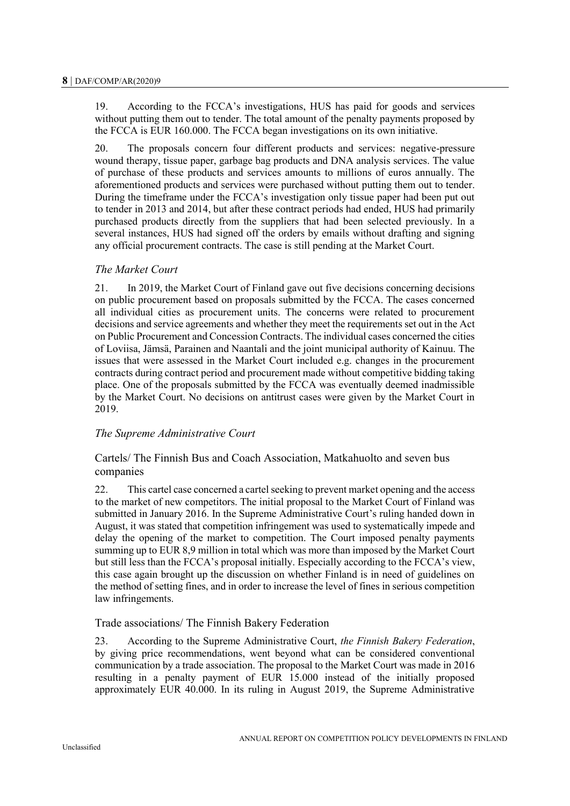19. According to the FCCA's investigations, HUS has paid for goods and services without putting them out to tender. The total amount of the penalty payments proposed by the FCCA is EUR 160.000. The FCCA began investigations on its own initiative.

20. The proposals concern four different products and services: negative-pressure wound therapy, tissue paper, garbage bag products and DNA analysis services. The value of purchase of these products and services amounts to millions of euros annually. The aforementioned products and services were purchased without putting them out to tender. During the timeframe under the FCCA's investigation only tissue paper had been put out to tender in 2013 and 2014, but after these contract periods had ended, HUS had primarily purchased products directly from the suppliers that had been selected previously. In a several instances, HUS had signed off the orders by emails without drafting and signing any official procurement contracts. The case is still pending at the Market Court.

# *The Market Court*

21. In 2019, the Market Court of Finland gave out five decisions concerning decisions on public procurement based on proposals submitted by the FCCA. The cases concerned all individual cities as procurement units. The concerns were related to procurement decisions and service agreements and whether they meet the requirements set out in the Act on Public Procurement and Concession Contracts. The individual cases concerned the cities of Loviisa, Jämsä, Parainen and Naantali and the joint municipal authority of Kainuu. The issues that were assessed in the Market Court included e.g. changes in the procurement contracts during contract period and procurement made without competitive bidding taking place. One of the proposals submitted by the FCCA was eventually deemed inadmissible by the Market Court. No decisions on antitrust cases were given by the Market Court in 2019.

# *The Supreme Administrative Court*

Cartels/ The Finnish Bus and Coach Association, Matkahuolto and seven bus companies

22. This cartel case concerned a cartel seeking to prevent market opening and the access to the market of new competitors. The initial proposal to the Market Court of Finland was submitted in January 2016. In the Supreme Administrative Court's ruling handed down in August, it was stated that competition infringement was used to systematically impede and delay the opening of the market to competition. The Court imposed penalty payments summing up to EUR 8,9 million in total which was more than imposed by the Market Court but still less than the FCCA's proposal initially. Especially according to the FCCA's view, this case again brought up the discussion on whether Finland is in need of guidelines on the method of setting fines, and in order to increase the level of fines in serious competition law infringements.

#### Trade associations/ The Finnish Bakery Federation

23. According to the Supreme Administrative Court, *the Finnish Bakery Federation*, by giving price recommendations, went beyond what can be considered conventional communication by a trade association. The proposal to the Market Court was made in 2016 resulting in a penalty payment of EUR 15.000 instead of the initially proposed approximately EUR 40.000. In its ruling in August 2019, the Supreme Administrative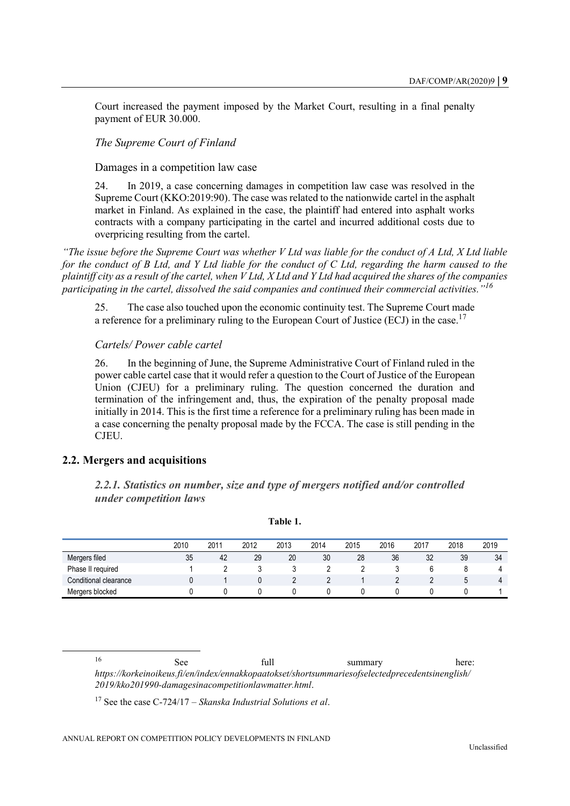Court increased the payment imposed by the Market Court, resulting in a final penalty payment of EUR 30.000.

### *The Supreme Court of Finland*

Damages in a competition law case

24. In 2019, a case concerning damages in competition law case was resolved in the Supreme Court (KKO:2019:90). The case was related to the nationwide cartel in the asphalt market in Finland. As explained in the case, the plaintiff had entered into asphalt works contracts with a company participating in the cartel and incurred additional costs due to overpricing resulting from the cartel.

*"The issue before the Supreme Court was whether V Ltd was liable for the conduct of A Ltd, X Ltd liable for the conduct of B Ltd, and Y Ltd liable for the conduct of C Ltd, regarding the harm caused to the plaintiff city as a result of the cartel, when V Ltd, X Ltd and Y Ltd had acquired the shares of the companies participating in the cartel, dissolved the said companies and continued their commercial activities."<sup>16</sup>*

25. The case also touched upon the economic continuity test. The Supreme Court made a reference for a preliminary ruling to the European Court of Justice (ECJ) in the case.<sup>17</sup>

#### *Cartels/ Power cable cartel*

26. In the beginning of June, the Supreme Administrative Court of Finland ruled in the power cable cartel case that it would refer a question to the Court of Justice of the European Union (CJEU) for a preliminary ruling. The question concerned the duration and termination of the infringement and, thus, the expiration of the penalty proposal made initially in 2014. This is the first time a reference for a preliminary ruling has been made in a case concerning the penalty proposal made by the FCCA. The case is still pending in the CJEU.

### <span id="page-8-1"></span><span id="page-8-0"></span>**2.2. Mergers and acquisitions**

 $\overline{a}$ 

*2.2.1. Statistics on number, size and type of mergers notified and/or controlled under competition laws*

<span id="page-8-2"></span>

|                       | 2010 | 2011 | 2012 | 2013 | 2014 | 2015 | 2016 | 2017 | 2018        | 2019 |
|-----------------------|------|------|------|------|------|------|------|------|-------------|------|
| Mergers filed         | 35   | 42   | 29   | 20   | 30   | 28   | 36   | 32   | 39          | 34   |
| Phase II required     |      |      |      |      |      |      |      |      |             | 4    |
| Conditional clearance |      |      |      |      |      |      |      |      | $\mathbf b$ | 4    |
| Mergers blocked       |      |      |      |      |      |      |      |      |             |      |

#### **Table 1.**

16 See full summary here: *https://korkeinoikeus.fi/en/index/ennakkopaatokset/shortsummariesofselectedprecedentsinenglish/ 2019/kko201990-damagesinacompetitionlawmatter.html*.

<sup>17</sup> See the case C-724/17 – *Skanska Industrial Solutions et al*.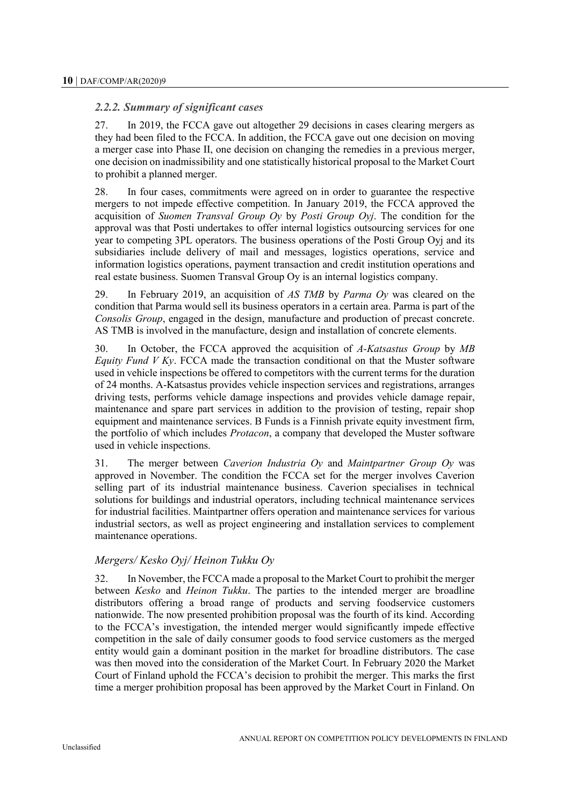### <span id="page-9-0"></span>*2.2.2. Summary of significant cases*

27. In 2019, the FCCA gave out altogether 29 decisions in cases clearing mergers as they had been filed to the FCCA. In addition, the FCCA gave out one decision on moving a merger case into Phase II, one decision on changing the remedies in a previous merger, one decision on inadmissibility and one statistically historical proposal to the Market Court to prohibit a planned merger.

28. In four cases, commitments were agreed on in order to guarantee the respective mergers to not impede effective competition. In January 2019, the FCCA approved the acquisition of *Suomen Transval Group Oy* by *Posti Group Oyj*. The condition for the approval was that Posti undertakes to offer internal logistics outsourcing services for one year to competing 3PL operators. The business operations of the Posti Group Oyj and its subsidiaries include delivery of mail and messages, logistics operations, service and information logistics operations, payment transaction and credit institution operations and real estate business. Suomen Transval Group Oy is an internal logistics company.

29. In February 2019, an acquisition of *AS TMB* by *Parma Oy* was cleared on the condition that Parma would sell its business operators in a certain area. Parma is part of the *Consolis Group*, engaged in the design, manufacture and production of precast concrete. AS TMB is involved in the manufacture, design and installation of concrete elements.

30. In October, the FCCA approved the acquisition of *A-Katsastus Group* by *MB Equity Fund V Ky*. FCCA made the transaction conditional on that the Muster software used in vehicle inspections be offered to competitors with the current terms for the duration of 24 months. A-Katsastus provides vehicle inspection services and registrations, arranges driving tests, performs vehicle damage inspections and provides vehicle damage repair, maintenance and spare part services in addition to the provision of testing, repair shop equipment and maintenance services. B Funds is a Finnish private equity investment firm, the portfolio of which includes *Protacon*, a company that developed the Muster software used in vehicle inspections.

31. The merger between *Caverion Industria Oy* and *Maintpartner Group Oy* was approved in November. The condition the FCCA set for the merger involves Caverion selling part of its industrial maintenance business. Caverion specialises in technical solutions for buildings and industrial operators, including technical maintenance services for industrial facilities. Maintpartner offers operation and maintenance services for various industrial sectors, as well as project engineering and installation services to complement maintenance operations.

#### *Mergers/ Kesko Oyj/ Heinon Tukku Oy*

32. In November, the FCCA made a proposal to the Market Court to prohibit the merger between *Kesko* and *Heinon Tukku*. The parties to the intended merger are broadline distributors offering a broad range of products and serving foodservice customers nationwide. The now presented prohibition proposal was the fourth of its kind. According to the FCCA's investigation, the intended merger would significantly impede effective competition in the sale of daily consumer goods to food service customers as the merged entity would gain a dominant position in the market for broadline distributors. The case was then moved into the consideration of the Market Court. In February 2020 the Market Court of Finland uphold the FCCA's decision to prohibit the merger. This marks the first time a merger prohibition proposal has been approved by the Market Court in Finland. On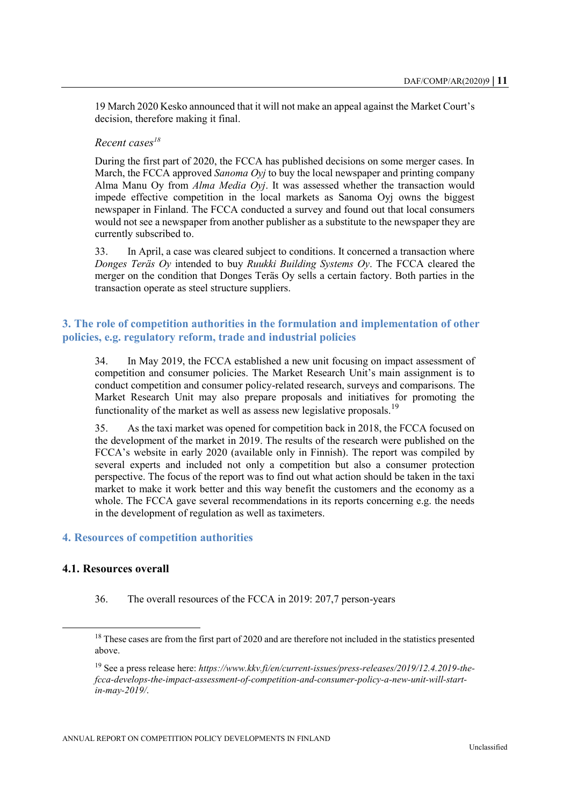19 March 2020 Kesko announced that it will not make an appeal against the Market Court's decision, therefore making it final.

# *Recent cases<sup>18</sup>*

During the first part of 2020, the FCCA has published decisions on some merger cases. In March, the FCCA approved *Sanoma Oyj* to buy the local newspaper and printing company Alma Manu Oy from *Alma Media Oyj*. It was assessed whether the transaction would impede effective competition in the local markets as Sanoma Oyj owns the biggest newspaper in Finland. The FCCA conducted a survey and found out that local consumers would not see a newspaper from another publisher as a substitute to the newspaper they are currently subscribed to.

33. In April, a case was cleared subject to conditions. It concerned a transaction where *Donges Teräs Oy* intended to buy *Ruukki Building Systems Oy*. The FCCA cleared the merger on the condition that Donges Teräs Oy sells a certain factory. Both parties in the transaction operate as steel structure suppliers.

# <span id="page-10-0"></span>**3. The role of competition authorities in the formulation and implementation of other policies, e.g. regulatory reform, trade and industrial policies**

34. In May 2019, the FCCA established a new unit focusing on impact assessment of competition and consumer policies. The Market Research Unit's main assignment is to conduct competition and consumer policy-related research, surveys and comparisons. The Market Research Unit may also prepare proposals and initiatives for promoting the functionality of the market as well as assess new legislative proposals.<sup>19</sup>

35. As the taxi market was opened for competition back in 2018, the FCCA focused on the development of the market in 2019. The results of the research were published on the FCCA's website in early 2020 (available only in Finnish). The report was compiled by several experts and included not only a competition but also a consumer protection perspective. The focus of the report was to find out what action should be taken in the taxi market to make it work better and this way benefit the customers and the economy as a whole. The FCCA gave several recommendations in its reports concerning e.g. the needs in the development of regulation as well as taximeters.

#### <span id="page-10-1"></span>**4. Resources of competition authorities**

# <span id="page-10-2"></span>**4.1. Resources overall**

36. The overall resources of the FCCA in 2019: 207,7 person-years

<sup>&</sup>lt;sup>18</sup> These cases are from the first part of 2020 and are therefore not included in the statistics presented above.

<sup>19</sup> See a press release here: *https://www.kkv.fi/en/current-issues/press-releases/2019/12.4.2019-thefcca-develops-the-impact-assessment-of-competition-and-consumer-policy-a-new-unit-will-startin-may-2019/*.